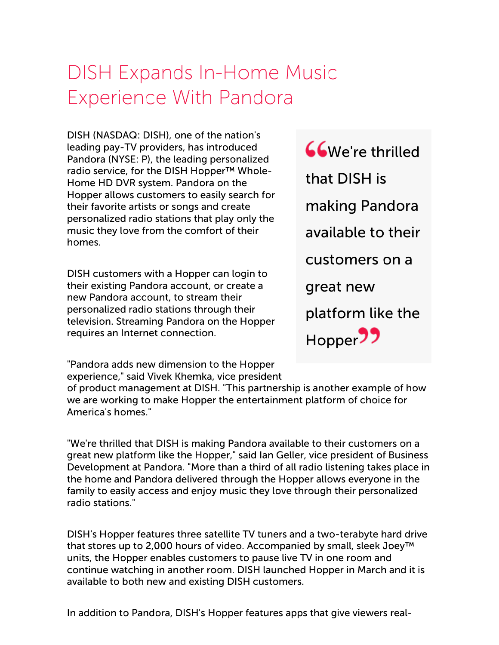## DISH Expands In-Home Music Experience With Pandora

DISH (NASDAQ: DISH), one of the nation's leading pay-TV providers, has introduced Pandora (NYSE: P), the leading personalized radio service, for the DISH Hopper<sup>™</sup> Whole-Home HD DVR system. Pandora on the Hopper allows customers to easily search for their favorite artists or songs and create personalized radio stations that play only the music they love from the comfort of their homes.

DISH customers with a Hopper can login to their existing Pandora account, or create a new Pandora account, to stream their personalized radio stations through their television. Streaming Pandora on the Hopper requires an Internet connection.

We're thrilled that DISH is making Pandora available to their customers on a great new platform like the Hopper<sup>99</sup>

"Pandora adds new dimension to the Hopper experience," said Vivek Khemka, vice president

of product management at DISH. "This partnership is another example of how we are working to make Hopper the entertainment platform of choice for America's homes."

"We're thrilled that DISH is making Pandora available to their customers on a great new platform like the Hopper," said Ian Geller, vice president of Business Development at Pandora. "More than a third of all radio listening takes place in the home and Pandora delivered through the Hopper allows everyone in the family to easily access and enjoy music they love through their personalized radio stations."

DISH's Hopper features three satellite TV tuners and a two-terabyte hard drive that stores up to 2,000 hours of video. Accompanied by small, sleek Joey™ units, the Hopper enables customers to pause live TV in one room and continue watching in another room. DISH launched Hopper in March and it is available to both new and existing DISH customers.

In addition to Pandora, DISH's Hopper features apps that give viewers real-